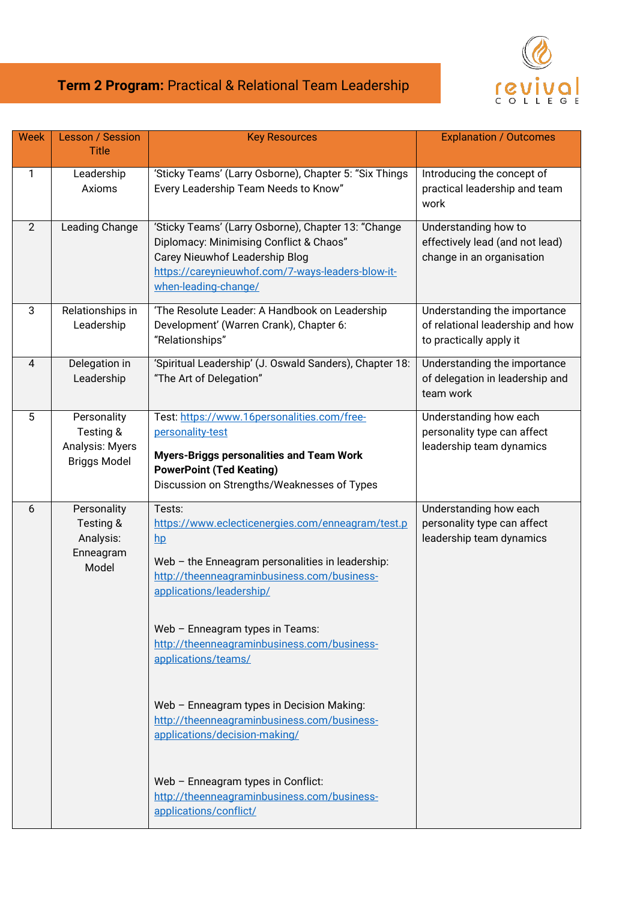## revivol

## **Term 2 Program:** Practical & Relational Team Leadership

| <b>Week</b>    | <b>Lesson / Session</b><br><b>Title</b>                            | <b>Key Resources</b>                                                                                                                                                                                                                                                                                                                                                                                                                      | <b>Explanation / Outcomes</b>                                                               |
|----------------|--------------------------------------------------------------------|-------------------------------------------------------------------------------------------------------------------------------------------------------------------------------------------------------------------------------------------------------------------------------------------------------------------------------------------------------------------------------------------------------------------------------------------|---------------------------------------------------------------------------------------------|
| 1              | Leadership<br>Axioms                                               | 'Sticky Teams' (Larry Osborne), Chapter 5: "Six Things<br>Every Leadership Team Needs to Know"                                                                                                                                                                                                                                                                                                                                            | Introducing the concept of<br>practical leadership and team<br>work                         |
| $\overline{2}$ | Leading Change                                                     | 'Sticky Teams' (Larry Osborne), Chapter 13: "Change<br>Diplomacy: Minimising Conflict & Chaos"<br>Carey Nieuwhof Leadership Blog<br>https://careynieuwhof.com/7-ways-leaders-blow-it-<br>when-leading-change/                                                                                                                                                                                                                             | Understanding how to<br>effectively lead (and not lead)<br>change in an organisation        |
| 3              | Relationships in<br>Leadership                                     | 'The Resolute Leader: A Handbook on Leadership<br>Development' (Warren Crank), Chapter 6:<br>"Relationships"                                                                                                                                                                                                                                                                                                                              | Understanding the importance<br>of relational leadership and how<br>to practically apply it |
| 4              | Delegation in<br>Leadership                                        | 'Spiritual Leadership' (J. Oswald Sanders), Chapter 18:<br>"The Art of Delegation"                                                                                                                                                                                                                                                                                                                                                        | Understanding the importance<br>of delegation in leadership and<br>team work                |
| 5              | Personality<br>Testing &<br>Analysis: Myers<br><b>Briggs Model</b> | Test: https://www.16personalities.com/free-<br>personality-test<br><b>Myers-Briggs personalities and Team Work</b><br><b>PowerPoint (Ted Keating)</b><br>Discussion on Strengths/Weaknesses of Types                                                                                                                                                                                                                                      | Understanding how each<br>personality type can affect<br>leadership team dynamics           |
| 6              | Personality<br>Testing &<br>Analysis:<br>Enneagram<br>Model        | Tests:<br>https://www.eclecticenergies.com/enneagram/test.p<br>$h$ p<br>Web - the Enneagram personalities in leadership:<br>http://theenneagraminbusiness.com/business-<br>applications/leadership/<br>Web - Enneagram types in Teams:<br>http://theenneagraminbusiness.com/business-<br>applications/teams/<br>Web - Enneagram types in Decision Making:<br>http://theenneagraminbusiness.com/business-<br>applications/decision-making/ | Understanding how each<br>personality type can affect<br>leadership team dynamics           |
|                |                                                                    | Web - Enneagram types in Conflict:<br>http://theenneagraminbusiness.com/business-<br>applications/conflict/                                                                                                                                                                                                                                                                                                                               |                                                                                             |